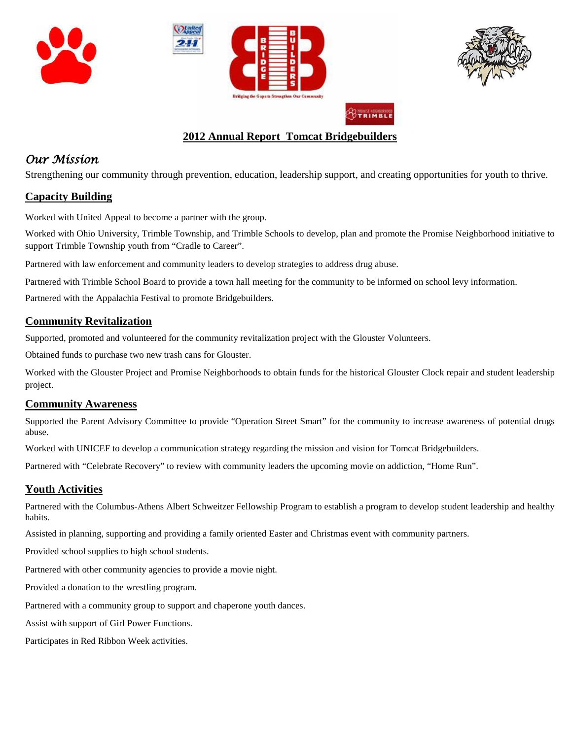







## **2012 Annual Report Tomcat Bridgebuilders**

# *Our Mission*

Strengthening our community through prevention, education, leadership support, and creating opportunities for youth to thrive.

#### **Capacity Building**

Worked with United Appeal to become a partner with the group.

Worked with Ohio University, Trimble Township, and Trimble Schools to develop, plan and promote the Promise Neighborhood initiative to support Trimble Township youth from "Cradle to Career".

Partnered with law enforcement and community leaders to develop strategies to address drug abuse.

Partnered with Trimble School Board to provide a town hall meeting for the community to be informed on school levy information.

Partnered with the Appalachia Festival to promote Bridgebuilders.

#### **Community Revitalization**

Supported, promoted and volunteered for the community revitalization project with the Glouster Volunteers.

Obtained funds to purchase two new trash cans for Glouster.

Worked with the Glouster Project and Promise Neighborhoods to obtain funds for the historical Glouster Clock repair and student leadership project.

#### **Community Awareness**

Supported the Parent Advisory Committee to provide "Operation Street Smart" for the community to increase awareness of potential drugs abuse.

Worked with UNICEF to develop a communication strategy regarding the mission and vision for Tomcat Bridgebuilders.

Partnered with "Celebrate Recovery" to review with community leaders the upcoming movie on addiction, "Home Run".

### **Youth Activities**

Partnered with the Columbus-Athens Albert Schweitzer Fellowship Program to establish a program to develop student leadership and healthy habits.

Assisted in planning, supporting and providing a family oriented Easter and Christmas event with community partners.

Provided school supplies to high school students.

Partnered with other community agencies to provide a movie night.

Provided a donation to the wrestling program.

Partnered with a community group to support and chaperone youth dances.

Assist with support of Girl Power Functions.

Participates in Red Ribbon Week activities.